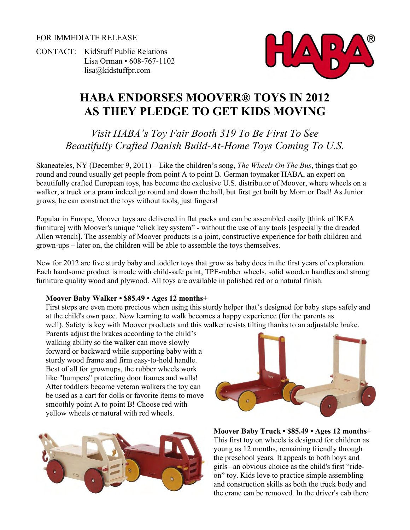FOR IMMEDIATE RELEASE

CONTACT: KidStuff Public Relations Lisa Orman • 608-767-1102 [lisa@kidstuffpr.com](mailto:lisa@kidstuffpr.com)



# **HABA ENDORSES MOOVER® TOYS IN 2012 AS THEY PLEDGE TO GET KIDS MOVING**

*Visit HABA's Toy Fair Booth 319 To Be First To See Beautifully Crafted Danish Build-At-Home Toys Coming To U.S.* 

Skaneateles, NY (December 9, 2011) – Like the children's song, *The Wheels On The Bus*, things that go round and round usually get people from point A to point B. German toymaker HABA, an expert on beautifully crafted European toys, has become the exclusive U.S. distributor of Moover, where wheels on a walker, a truck or a pram indeed go round and down the hall, but first get built by Mom or Dad! As Junior grows, he can construct the toys without tools, just fingers!

Popular in Europe, Moover toys are delivered in flat packs and can be assembled easily [think of IKEA furniture] with Moover's unique "click key system" - without the use of any tools [especially the dreaded Allen wrench]. The assembly of Moover products is a joint, constructive experience for both children and grown-ups – later on, the children will be able to assemble the toys themselves.

New for 2012 are five sturdy baby and toddler toys that grow as baby does in the first years of exploration. Each handsome product is made with child-safe paint, TPE-rubber wheels, solid wooden handles and strong furniture quality wood and plywood. All toys are available in polished red or a natural finish.

#### **Moover Baby Walker • \$85.49 • Ages 12 months+**

First steps are even more precious when using this sturdy helper that's designed for baby steps safely and at the child's own pace. Now learning to walk becomes a happy experience (for the parents as well). Safety is key with Moover products and this walker resists tilting thanks to an adjustable brake.

Parents adjust the brakes according to the child's walking ability so the walker can move slowly forward or backward while supporting baby with a sturdy wood frame and firm easy-to-hold handle. Best of all for grownups, the rubber wheels work like "bumpers" protecting door frames and walls! After toddlers become veteran walkers the toy can be used as a cart for dolls or favorite items to move smoothly point A to point B! Choose red with yellow wheels or natural with red wheels.





**Moover Baby Truck • \$85.49 • Ages 12 months+**  This first toy on wheels is designed for children as young as 12 months, remaining friendly through the preschool years. It appeals to both boys and girls –an obvious choice as the child's first "rideon" toy. Kids love to practice simple assembling and construction skills as both the truck body and the crane can be removed. In the driver's cab there